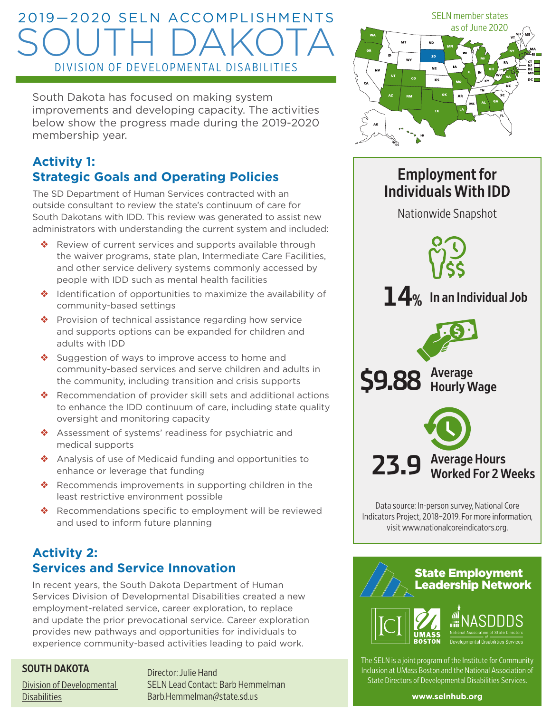# 2019—2020 SELN ACCOMPLISHMENTS SOUTH DAKOTA DIVISION OF DEVELOPMENTAL DISABILITIES

South Dakota has focused on making system improvements and developing capacity. The activities below show the progress made during the 2019-2020 membership year.

# **Activity 1: Strategic Goals and Operating Policies**

The SD Department of Human Services contracted with an outside consultant to review the state's continuum of care for South Dakotans with IDD. This review was generated to assist new administrators with understanding the current system and included:

- ❖ Review of current services and supports available through the waiver programs, state plan, Intermediate Care Facilities, and other service delivery systems commonly accessed by people with IDD such as mental health facilities
- ❖ Identification of opportunities to maximize the availability of community-based settings
- ❖ Provision of technical assistance regarding how service and supports options can be expanded for children and adults with IDD
- ❖ Suggestion of ways to improve access to home and community-based services and serve children and adults in the community, including transition and crisis supports
- ❖ Recommendation of provider skill sets and additional actions to enhance the IDD continuum of care, including state quality oversight and monitoring capacity
- ❖ Assessment of systems' readiness for psychiatric and medical supports
- ❖ Analysis of use of Medicaid funding and opportunities to enhance or leverage that funding
- ❖ Recommends improvements in supporting children in the least restrictive environment possible
- ❖ Recommendations specific to employment will be reviewed and used to inform future planning

# **Activity 2: Services and Service Innovation**

In recent years, the South Dakota Department of Human Services Division of Developmental Disabilities created a new employment-related service, career exploration, to replace and update the prior prevocational service. Career exploration provides new pathways and opportunities for individuals to experience community-based activities leading to paid work.

#### SOUTH DAKOTA

[Division of Developmental](https://dhs.sd.gov/developmentaldisabilities/default.aspx)  **[Disabilities](https://dhs.sd.gov/developmentaldisabilities/default.aspx)** 

Director: Julie Hand SELN Lead Contact: Barb Hemmelman Barb.Hemmelman@state.sd.us



# Employment for Individuals With IDD Nationwide Snapshot 23.9 Average Hours<br>Worked For 2 Weeks **14%** In an Individual Job **\$9.88** Average Hourly Wage

Data source: In-person survey, National Core Indicators Project, 2018–2019. For more information, visit www.nationalcoreindicators.org.



The SELN is a joint program of the Institute for Community Inclusion at UMass Boston and the National Association of State Directors of Developmental Disabilities Services.

**www.selnhub.org**